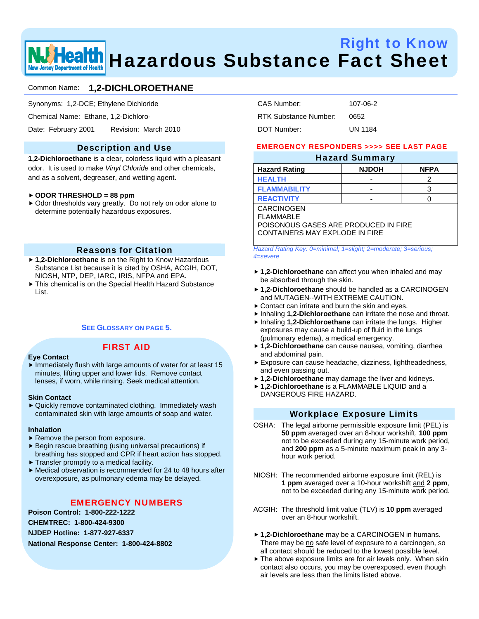

# Right to Know **We Health** Hazardous Substance Fact Sheet

## Common Name: **1,2-DICHLOROETHANE**

Synonyms: 1,2-DCE; Ethylene Dichloride

Chemical Name: Ethane, 1,2-Dichloro-

Date: February 2001 Revision: March 2010

## Description and Use

**1,2-Dichloroethane** is a clear, colorless liquid with a pleasant odor. It is used to make *Vinyl Chloride* and other chemicals, and as a solvent, degreaser, and wetting agent.

#### f **ODOR THRESHOLD = 88 ppm**

 $\triangleright$  Odor thresholds vary greatly. Do not rely on odor alone to determine potentially hazardous exposures.

## Reasons for Citation

- ▶ 1.2-Dichloroethane is on the Right to Know Hazardous Substance List because it is cited by OSHA, ACGIH, DOT, NIOSH, NTP, DEP, IARC, IRIS, NFPA and EPA.
- $\blacktriangleright$  This chemical is on the Special Health Hazard Substance List.

## **SEE GLOSSARY ON PAGE 5.**

## FIRST AID

#### **Eye Contact**

 $\blacktriangleright$  Immediately flush with large amounts of water for at least 15 minutes, lifting upper and lower lids. Remove contact lenses, if worn, while rinsing. Seek medical attention.

#### **Skin Contact**

 $\blacktriangleright$  Quickly remove contaminated clothing. Immediately wash contaminated skin with large amounts of soap and water.

#### **Inhalation**

- $\blacktriangleright$  Remove the person from exposure.
- $\blacktriangleright$  Begin rescue breathing (using universal precautions) if breathing has stopped and CPR if heart action has stopped.
- $\blacktriangleright$  Transfer promptly to a medical facility.
- $\blacktriangleright$  Medical observation is recommended for 24 to 48 hours after overexposure, as pulmonary edema may be delayed.

## EMERGENCY NUMBERS

**Poison Control: 1-800-222-1222** 

**CHEMTREC: 1-800-424-9300** 

**NJDEP Hotline: 1-877-927-6337** 

**National Response Center: 1-800-424-8802** 

| CAS Number:           | 107-06-2       |
|-----------------------|----------------|
| RTK Substance Number: | 0652           |
| DOT Number:           | <b>UN 1184</b> |

## EMERGENCY RESPONDERS >>>> SEE LAST PAGE

## Hazard Summary

|                      | --           |             |
|----------------------|--------------|-------------|
| <b>Hazard Rating</b> | <b>NJDOH</b> | <b>NFPA</b> |
| <b>HEALTH</b>        | -            |             |
| <b>FLAMMABILITY</b>  | -            |             |
| <b>REACTIVITY</b>    | -            |             |

CARCINOGEN FLAMMABLE

POISONOUS GASES ARE PRODUCED IN FIRE CONTAINERS MAY EXPLODE IN FIRE

*Hazard Rating Key: 0=minimal; 1=slight; 2=moderate; 3=serious; 4=severe* 

- ▶ 1,2-Dichloroethane can affect you when inhaled and may be absorbed through the skin.
- ▶ 1.2-Dichloroethane should be handled as a CARCINOGEN and MUTAGEN--WITH EXTREME CAUTION.
- $\triangleright$  Contact can irritate and burn the skin and eyes.
- **F** Inhaling **1,2-Dichloroethane** can irritate the nose and throat.
- **h** Inhaling **1,2-Dichloroethane** can irritate the lungs. Higher exposures may cause a build-up of fluid in the lungs (pulmonary edema), a medical emergency.
- ▶ 1,2-Dichloroethane can cause nausea, vomiting, diarrhea and abdominal pain.
- Exposure can cause headache, dizziness, lightheadedness, and even passing out.
- ▶ 1,2-Dichloroethane may damage the liver and kidneys.
- f **1,2-Dichloroethane** is a FLAMMABLE LIQUID and a DANGEROUS FIRE HAZARD.

## Workplace Exposure Limits

- OSHA: The legal airborne permissible exposure limit (PEL) is **50 ppm** averaged over an 8-hour workshift, **100 ppm** not to be exceeded during any 15-minute work period, and **200 ppm** as a 5-minute maximum peak in any 3 hour work period.
- NIOSH: The recommended airborne exposure limit (REL) is **1 ppm** averaged over a 10-hour workshift and **2 ppm**, not to be exceeded during any 15-minute work period.
- ACGIH: The threshold limit value (TLV) is **10 ppm** averaged over an 8-hour workshift.
- ▶ 1,2-Dichloroethane may be a CARCINOGEN in humans. There may be no safe level of exposure to a carcinogen, so all contact should be reduced to the lowest possible level.
- $\blacktriangleright$  The above exposure limits are for air levels only. When skin contact also occurs, you may be overexposed, even though air levels are less than the limits listed above.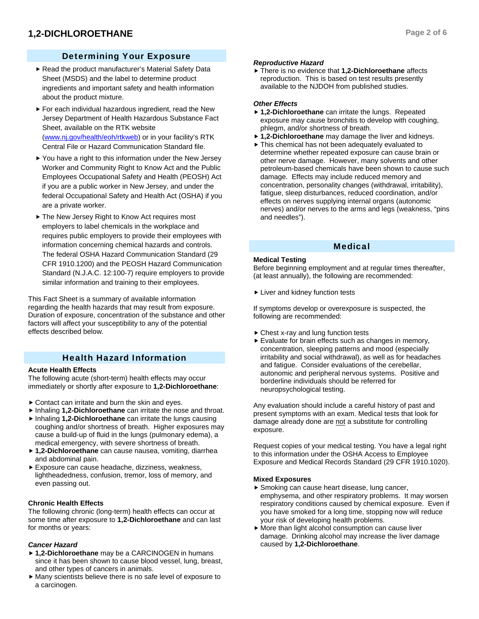## Determining Your Exposure

- Read the product manufacturer's Material Safety Data Sheet (MSDS) and the label to determine product ingredients and important safety and health information about the product mixture.
- $\blacktriangleright$  For each individual hazardous ingredient, read the New Jersey Department of Health Hazardous Substance Fact Sheet, available on the RTK website (www.nj.gov/health/eoh/rtkweb) or in your facility's RTK Central File or Hazard Communication Standard file.
- $\blacktriangleright$  You have a right to this information under the New Jersey Worker and Community Right to Know Act and the Public Employees Occupational Safety and Health (PEOSH) Act if you are a public worker in New Jersey, and under the federal Occupational Safety and Health Act (OSHA) if you are a private worker.
- ▶ The New Jersey Right to Know Act requires most employers to label chemicals in the workplace and requires public employers to provide their employees with information concerning chemical hazards and controls. The federal OSHA Hazard Communication Standard (29 CFR 1910.1200) and the PEOSH Hazard Communication Standard (N.J.A.C. 12:100-7) require employers to provide similar information and training to their employees.

This Fact Sheet is a summary of available information regarding the health hazards that may result from exposure. Duration of exposure, concentration of the substance and other factors will affect your susceptibility to any of the potential effects described below.

## Health Hazard Information

## **Acute Health Effects**

The following acute (short-term) health effects may occur immediately or shortly after exposure to **1,2-Dichloroethane**:

- $\triangleright$  Contact can irritate and burn the skin and eves.
- **F** Inhaling **1,2-Dichloroethane** can irritate the nose and throat.
- **F** Inhaling **1,2-Dichloroethane** can irritate the lungs causing coughing and/or shortness of breath. Higher exposures may cause a build-up of fluid in the lungs (pulmonary edema), a medical emergency, with severe shortness of breath.
- ▶ 1,2-Dichloroethane can cause nausea, vomiting, diarrhea and abdominal pain.
- Exposure can cause headache, dizziness, weakness, lightheadedness, confusion, tremor, loss of memory, and even passing out.

## **Chronic Health Effects**

The following chronic (long-term) health effects can occur at some time after exposure to **1,2-Dichloroethane** and can last for months or years:

## *Cancer Hazard*

- ▶ 1,2-Dichloroethane may be a CARCINOGEN in humans since it has been shown to cause blood vessel, lung, breast, and other types of cancers in animals.
- $\blacktriangleright$  Many scientists believe there is no safe level of exposure to a carcinogen.

## *Reproductive Hazard*

 $\triangleright$  There is no evidence that **1,2-Dichloroethane** affects reproduction. This is based on test results presently available to the NJDOH from published studies.

## *Other Effects*

- ▶ **1,2-Dichloroethane** can irritate the lungs. Repeated exposure may cause bronchitis to develop with coughing, phlegm, and/or shortness of breath.
- ▶ **1,2-Dichloroethane** may damage the liver and kidneys.
- $\triangleright$  This chemical has not been adequately evaluated to determine whether repeated exposure can cause brain or other nerve damage. However, many solvents and other petroleum-based chemicals have been shown to cause such damage. Effects may include reduced memory and concentration, personality changes (withdrawal, irritability), fatigue, sleep disturbances, reduced coordination, and/or effects on nerves supplying internal organs (autonomic nerves) and/or nerves to the arms and legs (weakness, "pins and needles").

## Medical

#### **Medical Testing**

Before beginning employment and at regular times thereafter, (at least annually), the following are recommended:

 $\blacktriangleright$  Liver and kidney function tests

If symptoms develop or overexposure is suspected, the following are recommended:

- $\triangleright$  Chest x-ray and lung function tests
- $\blacktriangleright$  Evaluate for brain effects such as changes in memory, concentration, sleeping patterns and mood (especially irritability and social withdrawal), as well as for headaches and fatigue. Consider evaluations of the cerebellar, autonomic and peripheral nervous systems. Positive and borderline individuals should be referred for neuropsychological testing.

Any evaluation should include a careful history of past and present symptoms with an exam. Medical tests that look for damage already done are not a substitute for controlling exposure.

Request copies of your medical testing. You have a legal right to this information under the OSHA Access to Employee Exposure and Medical Records Standard (29 CFR 1910.1020).

## **Mixed Exposures**

- $\blacktriangleright$  Smoking can cause heart disease, lung cancer, emphysema, and other respiratory problems. It may worsen respiratory conditions caused by chemical exposure. Even if you have smoked for a long time, stopping now will reduce your risk of developing health problems.
- $\blacktriangleright$  More than light alcohol consumption can cause liver damage. Drinking alcohol may increase the liver damage caused by **1,2-Dichloroethane**.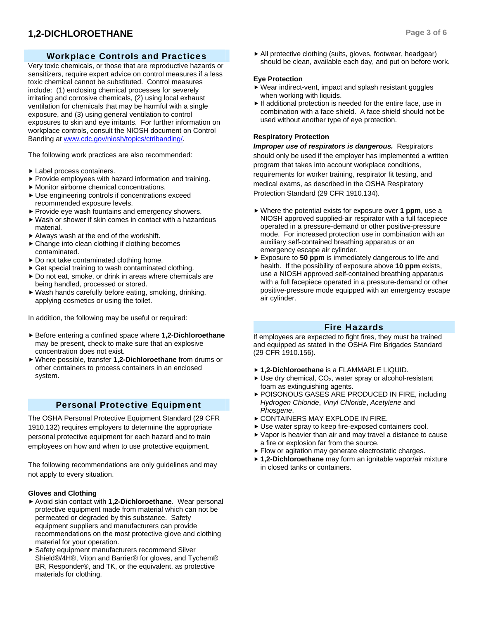## **1,2-DICHLOROETHANE** Page 3 of 6

## Workplace Controls and Practices

Very toxic chemicals, or those that are reproductive hazards or sensitizers, require expert advice on control measures if a less toxic chemical cannot be substituted. Control measures include: (1) enclosing chemical processes for severely irritating and corrosive chemicals, (2) using local exhaust ventilation for chemicals that may be harmful with a single exposure, and (3) using general ventilation to control exposures to skin and eye irritants. For further information on workplace controls, consult the NIOSH document on Control Banding at www.cdc.gov/niosh/topics/ctrlbanding/.

The following work practices are also recommended:

- $\blacktriangleright$  Label process containers.
- $\blacktriangleright$  Provide employees with hazard information and training.
- $\blacktriangleright$  Monitor airborne chemical concentrations.
- $\blacktriangleright$  Use engineering controls if concentrations exceed recommended exposure levels.
- $\blacktriangleright$  Provide eye wash fountains and emergency showers.
- $\blacktriangleright$  Wash or shower if skin comes in contact with a hazardous material.
- $\blacktriangleright$  Always wash at the end of the workshift.
- $\triangleright$  Change into clean clothing if clothing becomes contaminated.
- $\triangleright$  Do not take contaminated clothing home.
- $\triangleright$  Get special training to wash contaminated clothing.
- $\triangleright$  Do not eat, smoke, or drink in areas where chemicals are being handled, processed or stored.
- $\blacktriangleright$  Wash hands carefully before eating, smoking, drinking, applying cosmetics or using the toilet.

In addition, the following may be useful or required:

- ▶ Before entering a confined space where **1,2-Dichloroethane** may be present, check to make sure that an explosive concentration does not exist.
- f Where possible, transfer **1,2-Dichloroethane** from drums or other containers to process containers in an enclosed system.

## Personal Protective Equipment

The OSHA Personal Protective Equipment Standard (29 CFR 1910.132) requires employers to determine the appropriate personal protective equipment for each hazard and to train employees on how and when to use protective equipment.

The following recommendations are only guidelines and may not apply to every situation.

## **Gloves and Clothing**

- ▶ Avoid skin contact with **1,2-Dichloroethane**. Wear personal protective equipment made from material which can not be permeated or degraded by this substance. Safety equipment suppliers and manufacturers can provide recommendations on the most protective glove and clothing material for your operation.
- ▶ Safety equipment manufacturers recommend Silver Shield®/4H®, Viton and Barrier® for gloves, and Tychem® BR, Responder®, and TK, or the equivalent, as protective materials for clothing.

 $\blacktriangleright$  All protective clothing (suits, gloves, footwear, headgear) should be clean, available each day, and put on before work.

## **Eye Protection**

- $\blacktriangleright$  Wear indirect-vent, impact and splash resistant goggles when working with liquids.
- $\blacktriangleright$  If additional protection is needed for the entire face, use in combination with a face shield. A face shield should not be used without another type of eye protection.

## **Respiratory Protection**

*Improper use of respirators is dangerous.* Respirators should only be used if the employer has implemented a written program that takes into account workplace conditions, requirements for worker training, respirator fit testing, and medical exams, as described in the OSHA Respiratory Protection Standard (29 CFR 1910.134).

- ▶ Where the potential exists for exposure over 1 ppm, use a NIOSH approved supplied-air respirator with a full facepiece operated in a pressure-demand or other positive-pressure mode. For increased protection use in combination with an auxiliary self-contained breathing apparatus or an emergency escape air cylinder.
- **F** Exposure to **50 ppm** is immediately dangerous to life and health. If the possibility of exposure above **10 ppm** exists, use a NIOSH approved self-contained breathing apparatus with a full facepiece operated in a pressure-demand or other positive-pressure mode equipped with an emergency escape air cylinder.

## Fire Hazards

If employees are expected to fight fires, they must be trained and equipped as stated in the OSHA Fire Brigades Standard (29 CFR 1910.156).

- f **1,2-Dichloroethane** is a FLAMMABLE LIQUID.
- $\blacktriangleright$  Use dry chemical, CO<sub>2</sub>, water spray or alcohol-resistant foam as extinguishing agents.
- **POISONOUS GASES ARE PRODUCED IN FIRE, including** *Hydrogen Chloride*, *Vinyl Chloride*, *Acetylene* and *Phosgene*.
- **EXPLODE IN FIRE.**
- $\blacktriangleright$  Use water spray to keep fire-exposed containers cool.
- $\blacktriangleright$  Vapor is heavier than air and may travel a distance to cause a fire or explosion far from the source.
- Flow or agitation may generate electrostatic charges.
- ▶ 1,2-Dichloroethane may form an ignitable vapor/air mixture in closed tanks or containers.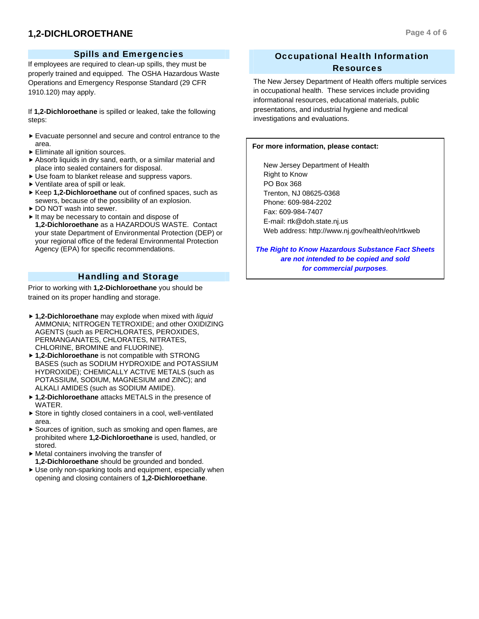## **1,2-DICHLOROETHANE** Page 4 of 6

## Spills and Emergencies

If employees are required to clean-up spills, they must be properly trained and equipped. The OSHA Hazardous Waste Operations and Emergency Response Standard (29 CFR 1910.120) may apply.

If **1,2-Dichloroethane** is spilled or leaked, take the following steps:

- $\blacktriangleright$  Evacuate personnel and secure and control entrance to the area.
- $\blacktriangleright$  Eliminate all ignition sources.
- $\blacktriangleright$  Absorb liquids in dry sand, earth, or a similar material and place into sealed containers for disposal.
- $\blacktriangleright$  Use foam to blanket release and suppress vapors.
- $\blacktriangleright$  Ventilate area of spill or leak.
- ▶ Keep 1,2-Dichloroethane out of confined spaces, such as sewers, because of the possibility of an explosion.
- ▶ DO NOT wash into sewer.
- $\blacktriangleright$  It may be necessary to contain and dispose of **1,2-Dichloroethane** as a HAZARDOUS WASTE. Contact your state Department of Environmental Protection (DEP) or your regional office of the federal Environmental Protection Agency (EPA) for specific recommendations.

## Handling and Storage

Prior to working with **1,2-Dichloroethane** you should be trained on its proper handling and storage.

- ▶ 1,2-Dichloroethane may explode when mixed with *liquid* AMMONIA; NITROGEN TETROXIDE; and other OXIDIZING AGENTS (such as PERCHLORATES, PEROXIDES, PERMANGANATES, CHLORATES, NITRATES, CHLORINE, BROMINE and FLUORINE).
- ▶ 1,2-Dichloroethane is not compatible with STRONG BASES (such as SODIUM HYDROXIDE and POTASSIUM HYDROXIDE); CHEMICALLY ACTIVE METALS (such as POTASSIUM, SODIUM, MAGNESIUM and ZINC); and ALKALI AMIDES (such as SODIUM AMIDE).
- ▶ 1,2-Dichloroethane attacks METALS in the presence of **WATER**
- $\triangleright$  Store in tightly closed containers in a cool, well-ventilated area.
- $\triangleright$  Sources of ignition, such as smoking and open flames, are prohibited where **1,2-Dichloroethane** is used, handled, or stored.
- $\blacktriangleright$  Metal containers involving the transfer of **1,2-Dichloroethane** should be grounded and bonded.
- $\triangleright$  Use only non-sparking tools and equipment, especially when opening and closing containers of **1,2-Dichloroethane**.

## Occupational Health Information Resources

The New Jersey Department of Health offers multiple services in occupational health. These services include providing informational resources, educational materials, public presentations, and industrial hygiene and medical investigations and evaluations.

#### **For more information, please contact:**

 New Jersey Department of Health Right to Know PO Box 368 Trenton, NJ 08625-0368 Phone: 609-984-2202 Fax: 609-984-7407 E-mail: rtk@doh.state.nj.us Web address: http://www.nj.gov/health/eoh/rtkweb

*The Right to Know Hazardous Substance Fact Sheets are not intended to be copied and sold for commercial purposes.*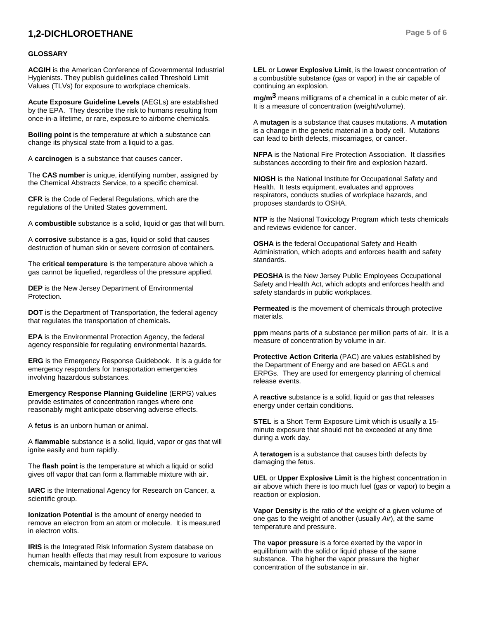## **1,2-DICHLOROETHANE** Page 5 of 6

#### **GLOSSARY**

**ACGIH** is the American Conference of Governmental Industrial Hygienists. They publish guidelines called Threshold Limit Values (TLVs) for exposure to workplace chemicals.

**Acute Exposure Guideline Levels** (AEGLs) are established by the EPA. They describe the risk to humans resulting from once-in-a lifetime, or rare, exposure to airborne chemicals.

**Boiling point** is the temperature at which a substance can change its physical state from a liquid to a gas.

A **carcinogen** is a substance that causes cancer.

The **CAS number** is unique, identifying number, assigned by the Chemical Abstracts Service, to a specific chemical.

**CFR** is the Code of Federal Regulations, which are the regulations of the United States government.

A **combustible** substance is a solid, liquid or gas that will burn.

A **corrosive** substance is a gas, liquid or solid that causes destruction of human skin or severe corrosion of containers.

The **critical temperature** is the temperature above which a gas cannot be liquefied, regardless of the pressure applied.

**DEP** is the New Jersey Department of Environmental Protection.

**DOT** is the Department of Transportation, the federal agency that regulates the transportation of chemicals.

**EPA** is the Environmental Protection Agency, the federal agency responsible for regulating environmental hazards.

**ERG** is the Emergency Response Guidebook. It is a guide for emergency responders for transportation emergencies involving hazardous substances.

**Emergency Response Planning Guideline** (ERPG) values provide estimates of concentration ranges where one reasonably might anticipate observing adverse effects.

A **fetus** is an unborn human or animal.

A **flammable** substance is a solid, liquid, vapor or gas that will ignite easily and burn rapidly.

The **flash point** is the temperature at which a liquid or solid gives off vapor that can form a flammable mixture with air.

**IARC** is the International Agency for Research on Cancer, a scientific group.

**Ionization Potential** is the amount of energy needed to remove an electron from an atom or molecule. It is measured in electron volts.

**IRIS** is the Integrated Risk Information System database on human health effects that may result from exposure to various chemicals, maintained by federal EPA.

**LEL** or **Lower Explosive Limit**, is the lowest concentration of a combustible substance (gas or vapor) in the air capable of continuing an explosion.

**mg/m3** means milligrams of a chemical in a cubic meter of air. It is a measure of concentration (weight/volume).

A **mutagen** is a substance that causes mutations. A **mutation** is a change in the genetic material in a body cell. Mutations can lead to birth defects, miscarriages, or cancer.

**NFPA** is the National Fire Protection Association. It classifies substances according to their fire and explosion hazard.

**NIOSH** is the National Institute for Occupational Safety and Health. It tests equipment, evaluates and approves respirators, conducts studies of workplace hazards, and proposes standards to OSHA.

**NTP** is the National Toxicology Program which tests chemicals and reviews evidence for cancer.

**OSHA** is the federal Occupational Safety and Health Administration, which adopts and enforces health and safety standards.

**PEOSHA** is the New Jersey Public Employees Occupational Safety and Health Act, which adopts and enforces health and safety standards in public workplaces.

**Permeated** is the movement of chemicals through protective materials.

**ppm** means parts of a substance per million parts of air. It is a measure of concentration by volume in air.

**Protective Action Criteria** (PAC) are values established by the Department of Energy and are based on AEGLs and ERPGs. They are used for emergency planning of chemical release events.

A **reactive** substance is a solid, liquid or gas that releases energy under certain conditions.

**STEL** is a Short Term Exposure Limit which is usually a 15 minute exposure that should not be exceeded at any time during a work day.

A **teratogen** is a substance that causes birth defects by damaging the fetus.

**UEL** or **Upper Explosive Limit** is the highest concentration in air above which there is too much fuel (gas or vapor) to begin a reaction or explosion.

**Vapor Density** is the ratio of the weight of a given volume of one gas to the weight of another (usually *Air*), at the same temperature and pressure.

The **vapor pressure** is a force exerted by the vapor in equilibrium with the solid or liquid phase of the same substance. The higher the vapor pressure the higher concentration of the substance in air.